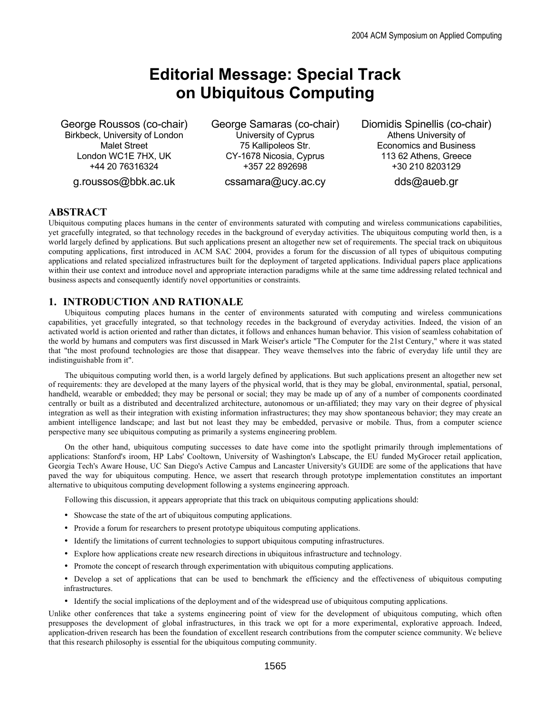# **Editorial Message: Special Track on Ubiquitous Computing**

George Roussos (co-chair) Birkbeck, University of London Malet Street London WC1E 7HX, UK +44 20 76316324

g.roussos@bbk.ac.uk

George Samaras (co-chair) University of Cyprus 75 Kallipoleos Str. CY-1678 Nicosia, Cyprus +357 22 892698

cssamara@ucy.ac.cy

Diomidis Spinellis (co-chair) Athens University of Economics and Business 113 62 Athens, Greece +30 210 8203129

dds@aueb.gr

## **ABSTRACT**

Ubiquitous computing places humans in the center of environments saturated with computing and wireless communications capabilities, yet gracefully integrated, so that technology recedes in the background of everyday activities. The ubiquitous computing world then, is a world largely defined by applications. But such applications present an altogether new set of requirements. The special track on ubiquitous computing applications, first introduced in ACM SAC 2004, provides a forum for the discussion of all types of ubiquitous computing applications and related specialized infrastructures built for the deployment of targeted applications. Individual papers place applications within their use context and introduce novel and appropriate interaction paradigms while at the same time addressing related technical and business aspects and consequently identify novel opportunities or constraints.

## **1. INTRODUCTION AND RATIONALE**

Ubiquitous computing places humans in the center of environments saturated with computing and wireless communications capabilities, yet gracefully integrated, so that technology recedes in the background of everyday activities. Indeed, the vision of an activated world is action oriented and rather than dictates, it follows and enhances human behavior. This vision of seamless cohabitation of the world by humans and computers was first discussed in Mark Weiser's article "The Computer for the 21st Century," where it was stated that "the most profound technologies are those that disappear. They weave themselves into the fabric of everyday life until they are indistinguishable from it".

The ubiquitous computing world then, is a world largely defined by applications. But such applications present an altogether new set of requirements: they are developed at the many layers of the physical world, that is they may be global, environmental, spatial, personal, handheld, wearable or embedded; they may be personal or social; they may be made up of any of a number of components coordinated centrally or built as a distributed and decentralized architecture, autonomous or un-affiliated; they may vary on their degree of physical integration as well as their integration with existing information infrastructures; they may show spontaneous behavior; they may create an ambient intelligence landscape; and last but not least they may be embedded, pervasive or mobile. Thus, from a computer science perspective many see ubiquitous computing as primarily a systems engineering problem.

On the other hand, ubiquitous computing successes to date have come into the spotlight primarily through implementations of applications: Stanford's iroom, HP Labs' Cooltown, University of Washington's Labscape, the EU funded MyGrocer retail application, Georgia Tech's Aware House, UC San Diego's Active Campus and Lancaster University's GUIDE are some of the applications that have paved the way for ubiquitous computing. Hence, we assert that research through prototype implementation constitutes an important alternative to ubiquitous computing development following a systems engineering approach.

Following this discussion, it appears appropriate that this track on ubiquitous computing applications should:

- Showcase the state of the art of ubiquitous computing applications.
- Provide a forum for researchers to present prototype ubiquitous computing applications.
- Identify the limitations of current technologies to support ubiquitous computing infrastructures.
- Explore how applications create new research directions in ubiquitous infrastructure and technology.
- Promote the concept of research through experimentation with ubiquitous computing applications.
- Develop a set of applications that can be used to benchmark the efficiency and the effectiveness of ubiquitous computing infrastructures.
- Identify the social implications of the deployment and of the widespread use of ubiquitous computing applications.

Unlike other conferences that take a systems engineering point of view for the development of ubiquitous computing, which often presupposes the development of global infrastructures, in this track we opt for a more experimental, explorative approach. Indeed, application-driven research has been the foundation of excellent research contributions from the computer science community. We believe that this research philosophy is essential for the ubiquitous computing community.